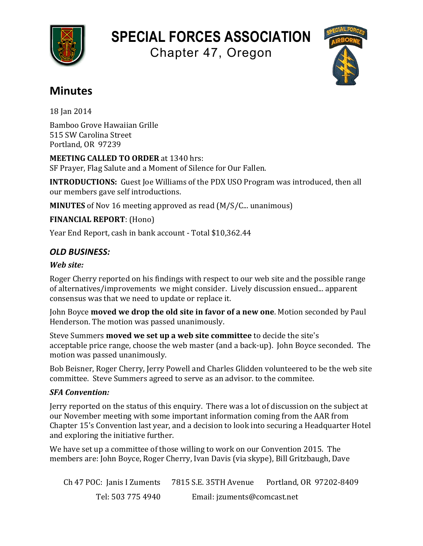

# **SPECIAL FORCES ASSOCIATION**

Chapter 47, Oregon



# **Minutes**

18 Ian 2014

Bamboo Grove Hawaiian Grille 515 SW Carolina Street Portland, OR 97239

**MEETING CALLED TO ORDER** at 1340 hrs: SF Prayer, Flag Salute and a Moment of Silence for Our Fallen.

**INTRODUCTIONS:** Guest Joe Williams of the PDX USO Program was introduced, then all our members gave self introductions.

**MINUTES** of Nov 16 meeting approved as read (M/S/C... unanimous)

**FINANCIAL REPORT:** (Hono)

Year End Report, cash in bank account - Total \$10,362.44

## *OLD BUSINESS:*

#### *Web site:*

Roger Cherry reported on his findings with respect to our web site and the possible range of alternatives/improvements we might consider. Lively discussion ensued... apparent consensus was that we need to update or replace it.

John Boyce **moved we drop the old site in favor of a new one**. Motion seconded by Paul Henderson. The motion was passed unanimously.

Steve Summers **moved we set up a web site committee** to decide the site's acceptable price range, choose the web master (and a back-up). John Boyce seconded. The motion was passed unanimously.

Bob Beisner, Roger Cherry, Jerry Powell and Charles Glidden volunteered to be the web site committee. Steve Summers agreed to serve as an advisor, to the commitee.

#### *SFA Convention:*

Jerry reported on the status of this enguiry. There was a lot of discussion on the subject at our November meeting with some important information coming from the AAR from Chapter 15's Convention last year, and a decision to look into securing a Headquarter Hotel and exploring the initiative further.

We have set up a committee of those willing to work on our Convention 2015. The members are: John Boyce, Roger Cherry, Ivan Davis (via skype), Bill Gritzbaugh, Dave

Ch 47 POC: Janis I Zuments 7815 S.E. 35TH Avenue Portland, OR 97202-8409 Tel: 503 775 4940 Email: jzuments@comcast.net